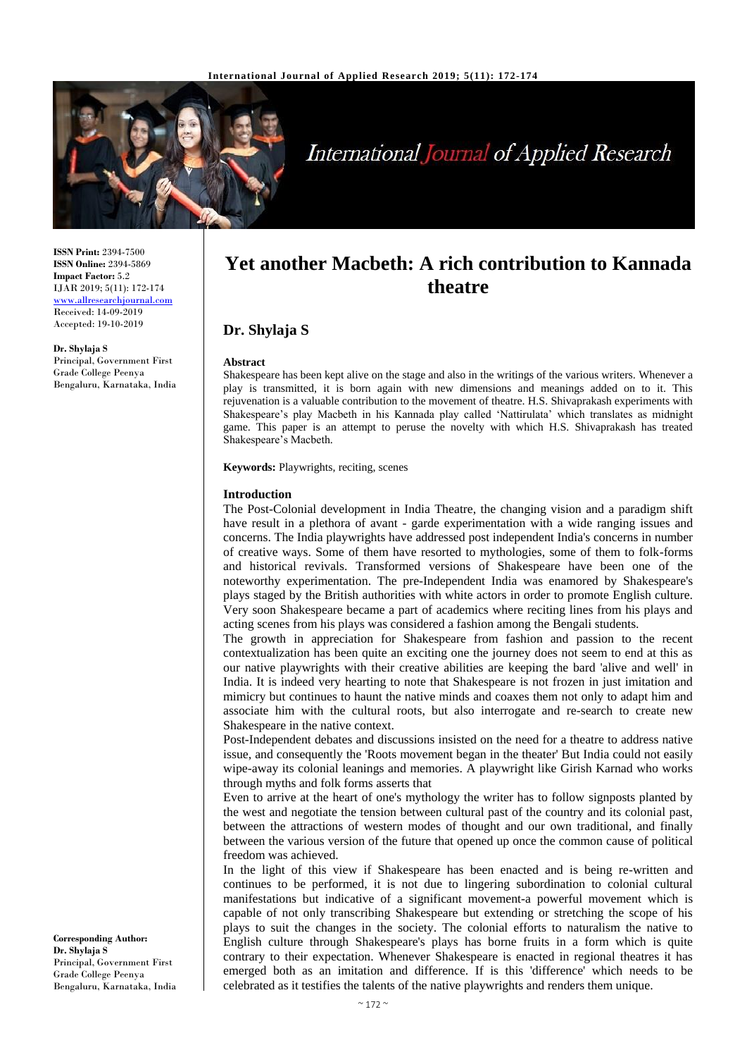

# **International Journal of Applied Research**

**ISSN Print:** 2394-7500 **ISSN Online:** 2394-5869 **Impact Factor:** 5.2 IJAR 2019; 5(11): 172-174 <www.allresearchjournal.com> Received: 14-09-2019 Accepted: 19-10-2019

**Dr. Shylaja S** Principal, Government First Grade College Peenya Bengaluru, Karnataka, India

## **Yet another Macbeth: A rich contribution to Kannada theatre**

### **Dr. Shylaja S**

#### **Abstract**

Shakespeare has been kept alive on the stage and also in the writings of the various writers. Whenever a play is transmitted, it is born again with new dimensions and meanings added on to it. This rejuvenation is a valuable contribution to the movement of theatre. H.S. Shivaprakash experiments with Shakespeare's play Macbeth in his Kannada play called 'Nattirulata' which translates as midnight game. This paper is an attempt to peruse the novelty with which H.S. Shivaprakash has treated Shakespeare's Macbeth.

**Keywords:** Playwrights, reciting, scenes

#### **Introduction**

The Post-Colonial development in India Theatre, the changing vision and a paradigm shift have result in a plethora of avant - garde experimentation with a wide ranging issues and concerns. The India playwrights have addressed post independent India's concerns in number of creative ways. Some of them have resorted to mythologies, some of them to folk-forms and historical revivals. Transformed versions of Shakespeare have been one of the noteworthy experimentation. The pre-Independent India was enamored by Shakespeare's plays staged by the British authorities with white actors in order to promote English culture. Very soon Shakespeare became a part of academics where reciting lines from his plays and acting scenes from his plays was considered a fashion among the Bengali students.

The growth in appreciation for Shakespeare from fashion and passion to the recent contextualization has been quite an exciting one the journey does not seem to end at this as our native playwrights with their creative abilities are keeping the bard 'alive and well' in India. It is indeed very hearting to note that Shakespeare is not frozen in just imitation and mimicry but continues to haunt the native minds and coaxes them not only to adapt him and associate him with the cultural roots, but also interrogate and re-search to create new Shakespeare in the native context.

Post-Independent debates and discussions insisted on the need for a theatre to address native issue, and consequently the 'Roots movement began in the theater' But India could not easily wipe-away its colonial leanings and memories. A playwright like Girish Karnad who works through myths and folk forms asserts that

Even to arrive at the heart of one's mythology the writer has to follow signposts planted by the west and negotiate the tension between cultural past of the country and its colonial past, between the attractions of western modes of thought and our own traditional, and finally between the various version of the future that opened up once the common cause of political freedom was achieved.

In the light of this view if Shakespeare has been enacted and is being re-written and continues to be performed, it is not due to lingering subordination to colonial cultural manifestations but indicative of a significant movement-a powerful movement which is capable of not only transcribing Shakespeare but extending or stretching the scope of his plays to suit the changes in the society. The colonial efforts to naturalism the native to English culture through Shakespeare's plays has borne fruits in a form which is quite contrary to their expectation. Whenever Shakespeare is enacted in regional theatres it has emerged both as an imitation and difference. If is this 'difference' which needs to be celebrated as it testifies the talents of the native playwrights and renders them unique.

**Corresponding Author: Dr. Shylaja S**  Principal, Government First Grade College Peenya Bengaluru, Karnataka, India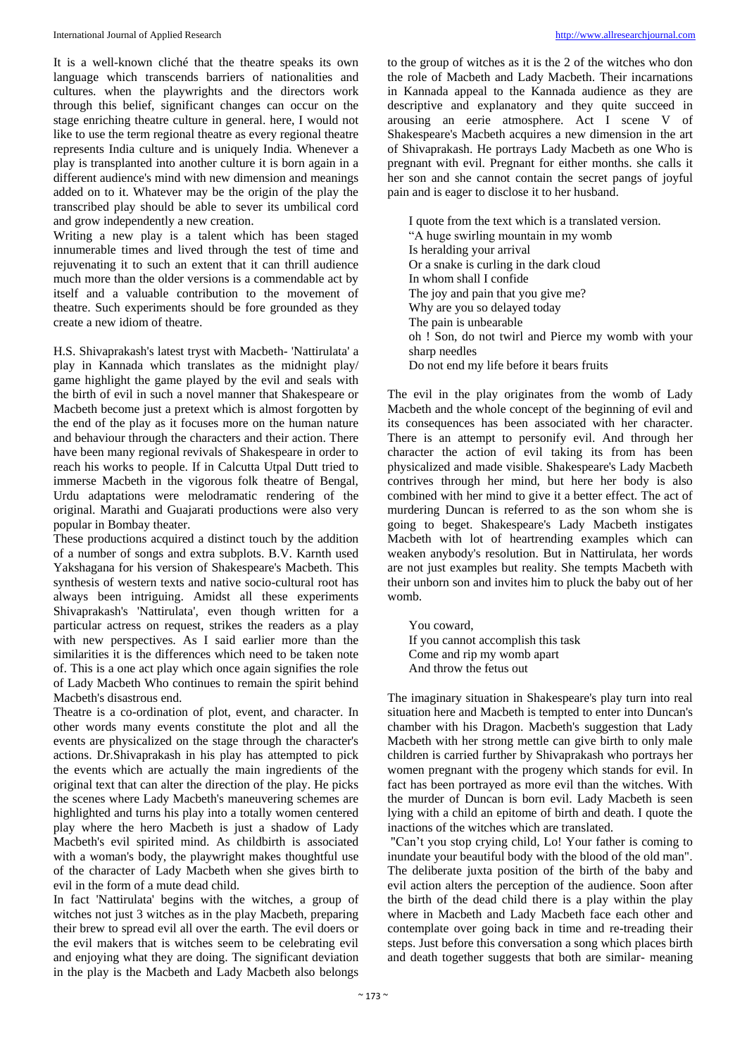It is a well-known cliché that the theatre speaks its own language which transcends barriers of nationalities and cultures. when the playwrights and the directors work through this belief, significant changes can occur on the stage enriching theatre culture in general. here, I would not like to use the term regional theatre as every regional theatre represents India culture and is uniquely India. Whenever a play is transplanted into another culture it is born again in a different audience's mind with new dimension and meanings added on to it. Whatever may be the origin of the play the transcribed play should be able to sever its umbilical cord and grow independently a new creation.

Writing a new play is a talent which has been staged innumerable times and lived through the test of time and rejuvenating it to such an extent that it can thrill audience much more than the older versions is a commendable act by itself and a valuable contribution to the movement of theatre. Such experiments should be fore grounded as they create a new idiom of theatre.

H.S. Shivaprakash's latest tryst with Macbeth- 'Nattirulata' a play in Kannada which translates as the midnight play/ game highlight the game played by the evil and seals with the birth of evil in such a novel manner that Shakespeare or Macbeth become just a pretext which is almost forgotten by the end of the play as it focuses more on the human nature and behaviour through the characters and their action. There have been many regional revivals of Shakespeare in order to reach his works to people. If in Calcutta Utpal Dutt tried to immerse Macbeth in the vigorous folk theatre of Bengal, Urdu adaptations were melodramatic rendering of the original. Marathi and Guajarati productions were also very popular in Bombay theater.

These productions acquired a distinct touch by the addition of a number of songs and extra subplots. B.V. Karnth used Yakshagana for his version of Shakespeare's Macbeth. This synthesis of western texts and native socio-cultural root has always been intriguing. Amidst all these experiments Shivaprakash's 'Nattirulata', even though written for a particular actress on request, strikes the readers as a play with new perspectives. As I said earlier more than the similarities it is the differences which need to be taken note of. This is a one act play which once again signifies the role of Lady Macbeth Who continues to remain the spirit behind Macbeth's disastrous end.

Theatre is a co-ordination of plot, event, and character. In other words many events constitute the plot and all the events are physicalized on the stage through the character's actions. Dr.Shivaprakash in his play has attempted to pick the events which are actually the main ingredients of the original text that can alter the direction of the play. He picks the scenes where Lady Macbeth's maneuvering schemes are highlighted and turns his play into a totally women centered play where the hero Macbeth is just a shadow of Lady Macbeth's evil spirited mind. As childbirth is associated with a woman's body, the playwright makes thoughtful use of the character of Lady Macbeth when she gives birth to evil in the form of a mute dead child.

In fact 'Nattirulata' begins with the witches, a group of witches not just 3 witches as in the play Macbeth, preparing their brew to spread evil all over the earth. The evil doers or the evil makers that is witches seem to be celebrating evil and enjoying what they are doing. The significant deviation in the play is the Macbeth and Lady Macbeth also belongs

to the group of witches as it is the 2 of the witches who don the role of Macbeth and Lady Macbeth. Their incarnations in Kannada appeal to the Kannada audience as they are descriptive and explanatory and they quite succeed in arousing an eerie atmosphere. Act I scene V of Shakespeare's Macbeth acquires a new dimension in the art of Shivaprakash. He portrays Lady Macbeth as one Who is pregnant with evil. Pregnant for either months. she calls it her son and she cannot contain the secret pangs of joyful pain and is eager to disclose it to her husband.

I quote from the text which is a translated version. "A huge swirling mountain in my womb Is heralding your arrival Or a snake is curling in the dark cloud In whom shall I confide The joy and pain that you give me? Why are you so delayed today The pain is unbearable oh ! Son, do not twirl and Pierce my womb with your sharp needles Do not end my life before it bears fruits

The evil in the play originates from the womb of Lady Macbeth and the whole concept of the beginning of evil and its consequences has been associated with her character. There is an attempt to personify evil. And through her character the action of evil taking its from has been physicalized and made visible. Shakespeare's Lady Macbeth contrives through her mind, but here her body is also combined with her mind to give it a better effect. The act of murdering Duncan is referred to as the son whom she is going to beget. Shakespeare's Lady Macbeth instigates Macbeth with lot of heartrending examples which can weaken anybody's resolution. But in Nattirulata, her words are not just examples but reality. She tempts Macbeth with their unborn son and invites him to pluck the baby out of her womb.

You coward, If you cannot accomplish this task Come and rip my womb apart And throw the fetus out

The imaginary situation in Shakespeare's play turn into real situation here and Macbeth is tempted to enter into Duncan's chamber with his Dragon. Macbeth's suggestion that Lady Macbeth with her strong mettle can give birth to only male children is carried further by Shivaprakash who portrays her women pregnant with the progeny which stands for evil. In fact has been portrayed as more evil than the witches. With the murder of Duncan is born evil. Lady Macbeth is seen lying with a child an epitome of birth and death. I quote the inactions of the witches which are translated.

"Can't you stop crying child, Lo! Your father is coming to inundate your beautiful body with the blood of the old man". The deliberate juxta position of the birth of the baby and evil action alters the perception of the audience. Soon after the birth of the dead child there is a play within the play where in Macbeth and Lady Macbeth face each other and contemplate over going back in time and re-treading their steps. Just before this conversation a song which places birth and death together suggests that both are similar- meaning